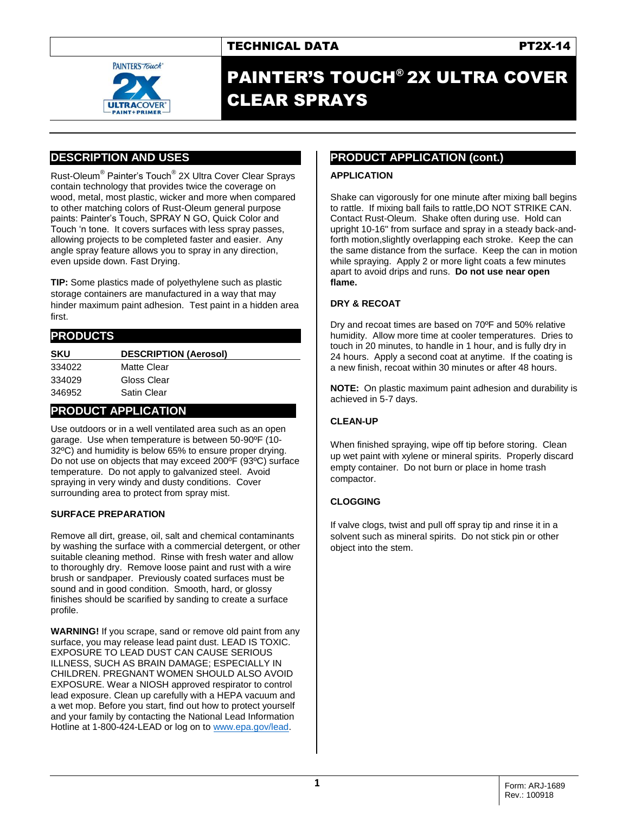

# PAINTER'S TOUCH® 2X ULTRA COVER CLEAR SPRAYS

# **DESCRIPTION AND USES**

Rust-Oleum® Painter's Touch® 2X Ultra Cover Clear Sprays contain technology that provides twice the coverage on wood, metal, most plastic, wicker and more when compared to other matching colors of Rust-Oleum general purpose paints: Painter's Touch, SPRAY N GO, Quick Color and Touch 'n tone. It covers surfaces with less spray passes, allowing projects to be completed faster and easier. Any angle spray feature allows you to spray in any direction, even upside down. Fast Drying.

**TIP:** Some plastics made of polyethylene such as plastic storage containers are manufactured in a way that may hinder maximum paint adhesion. Test paint in a hidden area first.

| <b>PRODUCTS</b> |                              |  |  |
|-----------------|------------------------------|--|--|
| <b>SKU</b>      | <b>DESCRIPTION (Aerosol)</b> |  |  |
| 334022          | Matte Clear                  |  |  |
| 334029          | Gloss Clear                  |  |  |
| 346952          | Satin Clear                  |  |  |

## **PRODUCT APPLICATION**

Use outdoors or in a well ventilated area such as an open garage. Use when temperature is between 50-90ºF (10- 32ºC) and humidity is below 65% to ensure proper drying. Do not use on objects that may exceed 200ºF (93ºC) surface temperature. Do not apply to galvanized steel. Avoid spraying in very windy and dusty conditions. Cover surrounding area to protect from spray mist.

#### **SURFACE PREPARATION**

Remove all dirt, grease, oil, salt and chemical contaminants by washing the surface with a commercial detergent, or other suitable cleaning method. Rinse with fresh water and allow to thoroughly dry. Remove loose paint and rust with a wire brush or sandpaper. Previously coated surfaces must be sound and in good condition. Smooth, hard, or glossy finishes should be scarified by sanding to create a surface profile.

**WARNING!** If you scrape, sand or remove old paint from any surface, you may release lead paint dust. LEAD IS TOXIC. EXPOSURE TO LEAD DUST CAN CAUSE SERIOUS ILLNESS, SUCH AS BRAIN DAMAGE; ESPECIALLY IN CHILDREN. PREGNANT WOMEN SHOULD ALSO AVOID EXPOSURE. Wear a NIOSH approved respirator to control lead exposure. Clean up carefully with a HEPA vacuum and a wet mop. Before you start, find out how to protect yourself and your family by contacting the National Lead Information Hotline at 1-800-424-LEAD or log on t[o www.epa.gov/lead.](http://www.epa.gov/lead)

## **PRODUCT APPLICATION (cont.)**

#### **APPLICATION**

Shake can vigorously for one minute after mixing ball begins to rattle. If mixing ball fails to rattle,DO NOT STRIKE CAN. Contact Rust-Oleum. Shake often during use. Hold can upright 10-16" from surface and spray in a steady back-andforth motion,slightly overlapping each stroke. Keep the can the same distance from the surface. Keep the can in motion while spraying. Apply 2 or more light coats a few minutes apart to avoid drips and runs. **Do not use near open flame.**

#### **DRY & RECOAT**

Dry and recoat times are based on 70ºF and 50% relative humidity. Allow more time at cooler temperatures. Dries to touch in 20 minutes, to handle in 1 hour, and is fully dry in 24 hours. Apply a second coat at anytime. If the coating is a new finish, recoat within 30 minutes or after 48 hours.

**NOTE:** On plastic maximum paint adhesion and durability is achieved in 5-7 days.

### **CLEAN-UP**

When finished spraying, wipe off tip before storing. Clean up wet paint with xylene or mineral spirits. Properly discard empty container. Do not burn or place in home trash compactor.

#### **CLOGGING**

If valve clogs, twist and pull off spray tip and rinse it in a solvent such as mineral spirits. Do not stick pin or other object into the stem.